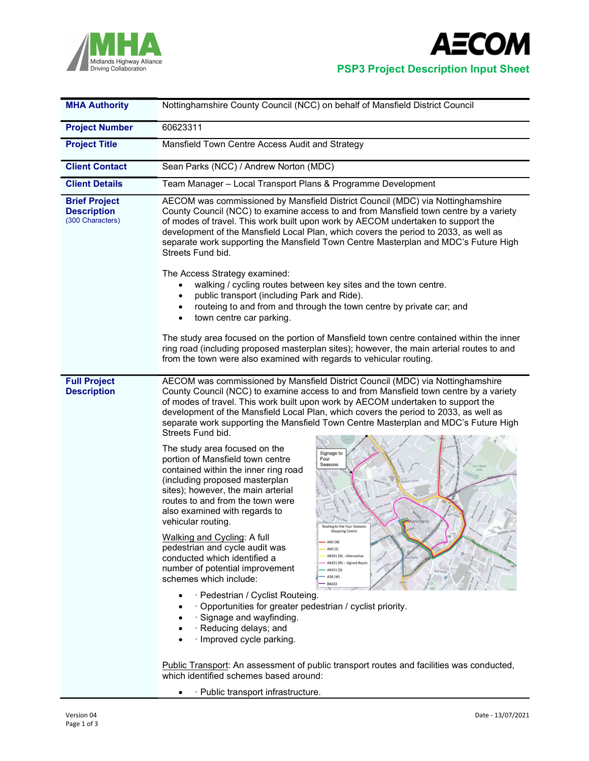



| <b>MHA Authority</b>                                           | Nottinghamshire County Council (NCC) on behalf of Mansfield District Council                                                                                                                                                                                                                                                                                                                                                                                                                                                                                                                                                                                                                                                                                                                                                                                                                                                                                                                                                                                                                                                                                                                                                                                                                                                                                                                      |  |  |  |  |  |
|----------------------------------------------------------------|---------------------------------------------------------------------------------------------------------------------------------------------------------------------------------------------------------------------------------------------------------------------------------------------------------------------------------------------------------------------------------------------------------------------------------------------------------------------------------------------------------------------------------------------------------------------------------------------------------------------------------------------------------------------------------------------------------------------------------------------------------------------------------------------------------------------------------------------------------------------------------------------------------------------------------------------------------------------------------------------------------------------------------------------------------------------------------------------------------------------------------------------------------------------------------------------------------------------------------------------------------------------------------------------------------------------------------------------------------------------------------------------------|--|--|--|--|--|
| <b>Project Number</b>                                          | 60623311                                                                                                                                                                                                                                                                                                                                                                                                                                                                                                                                                                                                                                                                                                                                                                                                                                                                                                                                                                                                                                                                                                                                                                                                                                                                                                                                                                                          |  |  |  |  |  |
| <b>Project Title</b>                                           | Mansfield Town Centre Access Audit and Strategy                                                                                                                                                                                                                                                                                                                                                                                                                                                                                                                                                                                                                                                                                                                                                                                                                                                                                                                                                                                                                                                                                                                                                                                                                                                                                                                                                   |  |  |  |  |  |
| <b>Client Contact</b>                                          | Sean Parks (NCC) / Andrew Norton (MDC)                                                                                                                                                                                                                                                                                                                                                                                                                                                                                                                                                                                                                                                                                                                                                                                                                                                                                                                                                                                                                                                                                                                                                                                                                                                                                                                                                            |  |  |  |  |  |
| <b>Client Details</b>                                          | Team Manager - Local Transport Plans & Programme Development                                                                                                                                                                                                                                                                                                                                                                                                                                                                                                                                                                                                                                                                                                                                                                                                                                                                                                                                                                                                                                                                                                                                                                                                                                                                                                                                      |  |  |  |  |  |
| <b>Brief Project</b><br><b>Description</b><br>(300 Characters) | AECOM was commissioned by Mansfield District Council (MDC) via Nottinghamshire<br>County Council (NCC) to examine access to and from Mansfield town centre by a variety<br>of modes of travel. This work built upon work by AECOM undertaken to support the<br>development of the Mansfield Local Plan, which covers the period to 2033, as well as<br>separate work supporting the Mansfield Town Centre Masterplan and MDC's Future High<br>Streets Fund bid.<br>The Access Strategy examined:<br>walking / cycling routes between key sites and the town centre.<br>$\bullet$<br>public transport (including Park and Ride).<br>$\bullet$                                                                                                                                                                                                                                                                                                                                                                                                                                                                                                                                                                                                                                                                                                                                                      |  |  |  |  |  |
|                                                                | routeing to and from and through the town centre by private car; and<br>town centre car parking.<br>$\bullet$                                                                                                                                                                                                                                                                                                                                                                                                                                                                                                                                                                                                                                                                                                                                                                                                                                                                                                                                                                                                                                                                                                                                                                                                                                                                                     |  |  |  |  |  |
|                                                                | The study area focused on the portion of Mansfield town centre contained within the inner<br>ring road (including proposed masterplan sites); however, the main arterial routes to and<br>from the town were also examined with regards to vehicular routing.                                                                                                                                                                                                                                                                                                                                                                                                                                                                                                                                                                                                                                                                                                                                                                                                                                                                                                                                                                                                                                                                                                                                     |  |  |  |  |  |
| <b>Full Project</b><br><b>Description</b>                      | AECOM was commissioned by Mansfield District Council (MDC) via Nottinghamshire<br>County Council (NCC) to examine access to and from Mansfield town centre by a variety<br>of modes of travel. This work built upon work by AECOM undertaken to support the<br>development of the Mansfield Local Plan, which covers the period to 2033, as well as<br>separate work supporting the Mansfield Town Centre Masterplan and MDC's Future High<br>Streets Fund bid.<br>The study area focused on the<br>Signage to<br>portion of Mansfield town centre<br>Four<br>Seasons<br>Corr Bank<br>contained within the inner ring road<br>(including proposed masterplan<br>sites); however, the main arterial<br>routes to and from the town were<br>also examined with regards to<br>Mansfield<br>vehicular routing.<br><b>Shopping Centre</b><br>Walking and Cycling: A full<br>A60 (N)<br>pedestrian and cycle audit was<br>A60 (S)<br>A6191 (N) - Alternative<br>conducted which identified a<br>A6191 (N) - Signed Route<br>number of potential improvement<br>A6191(S)<br>A38 (W)<br>schemes which include:<br>B6033<br>· Pedestrian / Cyclist Routeing.<br>· Opportunities for greater pedestrian / cyclist priority.<br>· Signage and wayfinding.<br>· Reducing delays; and<br>· Improved cycle parking.<br>Public Transport: An assessment of public transport routes and facilities was conducted, |  |  |  |  |  |
|                                                                | which identified schemes based around:                                                                                                                                                                                                                                                                                                                                                                                                                                                                                                                                                                                                                                                                                                                                                                                                                                                                                                                                                                                                                                                                                                                                                                                                                                                                                                                                                            |  |  |  |  |  |
|                                                                | · Public transport infrastructure.<br>$\bullet$                                                                                                                                                                                                                                                                                                                                                                                                                                                                                                                                                                                                                                                                                                                                                                                                                                                                                                                                                                                                                                                                                                                                                                                                                                                                                                                                                   |  |  |  |  |  |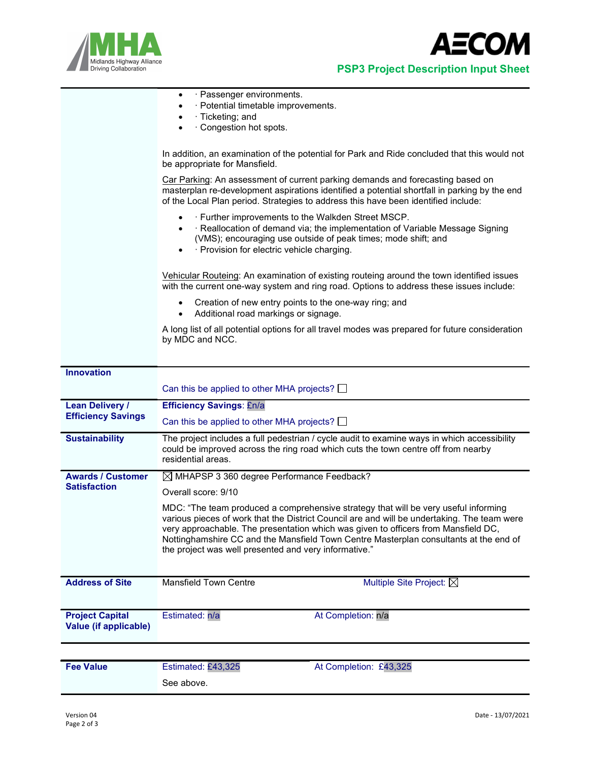



|                                                 | · Passenger environments.<br>٠<br>· Potential timetable improvements.<br>· Ticketing; and                                                                                                                                                                                                                                                                                                                                  |  |  |  |  |  |
|-------------------------------------------------|----------------------------------------------------------------------------------------------------------------------------------------------------------------------------------------------------------------------------------------------------------------------------------------------------------------------------------------------------------------------------------------------------------------------------|--|--|--|--|--|
|                                                 | · Congestion hot spots.                                                                                                                                                                                                                                                                                                                                                                                                    |  |  |  |  |  |
|                                                 | In addition, an examination of the potential for Park and Ride concluded that this would not<br>be appropriate for Mansfield.                                                                                                                                                                                                                                                                                              |  |  |  |  |  |
|                                                 | Car Parking: An assessment of current parking demands and forecasting based on<br>masterplan re-development aspirations identified a potential shortfall in parking by the end<br>of the Local Plan period. Strategies to address this have been identified include:                                                                                                                                                       |  |  |  |  |  |
|                                                 | . Further improvements to the Walkden Street MSCP.<br>٠<br>· Reallocation of demand via; the implementation of Variable Message Signing<br>$\bullet$<br>(VMS); encouraging use outside of peak times; mode shift; and<br>· Provision for electric vehicle charging.<br>٠                                                                                                                                                   |  |  |  |  |  |
|                                                 | Vehicular Routeing: An examination of existing routeing around the town identified issues<br>with the current one-way system and ring road. Options to address these issues include:                                                                                                                                                                                                                                       |  |  |  |  |  |
|                                                 | Creation of new entry points to the one-way ring; and<br>Additional road markings or signage.<br>٠                                                                                                                                                                                                                                                                                                                         |  |  |  |  |  |
|                                                 | A long list of all potential options for all travel modes was prepared for future consideration<br>by MDC and NCC.                                                                                                                                                                                                                                                                                                         |  |  |  |  |  |
|                                                 |                                                                                                                                                                                                                                                                                                                                                                                                                            |  |  |  |  |  |
| <b>Innovation</b>                               | Can this be applied to other MHA projects? $\Box$                                                                                                                                                                                                                                                                                                                                                                          |  |  |  |  |  |
| <b>Lean Delivery /</b>                          | <b>Efficiency Savings: £n/a</b>                                                                                                                                                                                                                                                                                                                                                                                            |  |  |  |  |  |
| <b>Efficiency Savings</b>                       | Can this be applied to other MHA projects?                                                                                                                                                                                                                                                                                                                                                                                 |  |  |  |  |  |
| <b>Sustainability</b>                           | The project includes a full pedestrian / cycle audit to examine ways in which accessibility<br>could be improved across the ring road which cuts the town centre off from nearby<br>residential areas.                                                                                                                                                                                                                     |  |  |  |  |  |
| <b>Awards / Customer</b>                        | $\boxtimes$ MHAPSP 3 360 degree Performance Feedback?                                                                                                                                                                                                                                                                                                                                                                      |  |  |  |  |  |
| <b>Satisfaction</b>                             | Overall score: 9/10                                                                                                                                                                                                                                                                                                                                                                                                        |  |  |  |  |  |
|                                                 | MDC: "The team produced a comprehensive strategy that will be very useful informing<br>various pieces of work that the District Council are and will be undertaking. The team were<br>very approachable. The presentation which was given to officers from Mansfield DC,<br>Nottinghamshire CC and the Mansfield Town Centre Masterplan consultants at the end of<br>the project was well presented and very informative." |  |  |  |  |  |
| <b>Address of Site</b>                          | <b>Mansfield Town Centre</b><br>Multiple Site Project: $\boxtimes$                                                                                                                                                                                                                                                                                                                                                         |  |  |  |  |  |
| <b>Project Capital</b><br>Value (if applicable) | At Completion: n/a<br>Estimated: n/a                                                                                                                                                                                                                                                                                                                                                                                       |  |  |  |  |  |
|                                                 |                                                                                                                                                                                                                                                                                                                                                                                                                            |  |  |  |  |  |
| <b>Fee Value</b>                                | Estimated: £43,325<br>At Completion: £43,325                                                                                                                                                                                                                                                                                                                                                                               |  |  |  |  |  |
|                                                 | See above.                                                                                                                                                                                                                                                                                                                                                                                                                 |  |  |  |  |  |